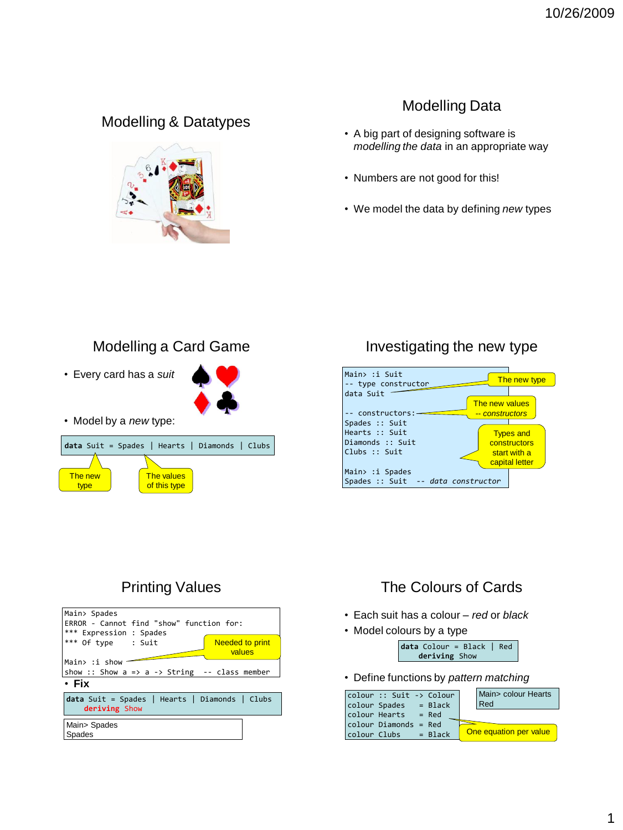## Modelling & Datatypes



# Modelling Data

- A big part of designing software is *modelling the data* in an appropriate way
- Numbers are not good for this!
- We model the data by defining *new* types



• Every card has a *suit*



• Model by a *new* type:

|         | data Suit = Spades   Hearts   Diamonds   Clubs |  |
|---------|------------------------------------------------|--|
|         |                                                |  |
| The new | The values                                     |  |
| type    | of this type                                   |  |

### Investigating the new type



# Printing Values



# The Colours of Cards

- Each suit has a colour *red* or *black*
- Model colours by a type



• Define functions by *pattern matching*

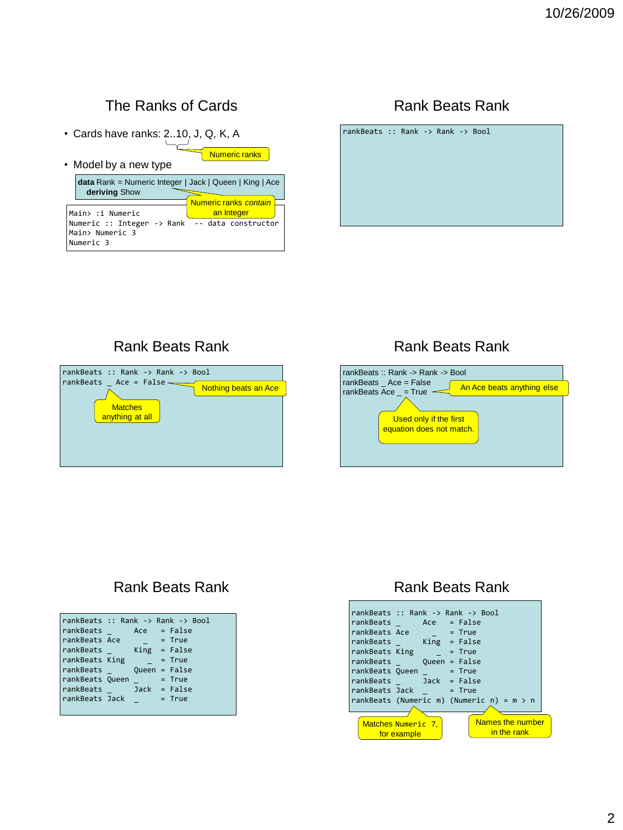# The Ranks of Cards

• Cards have ranks: 2..10, J, Q, K, A

| • Model by a new type |  |  |
|-----------------------|--|--|
|                       |  |  |

Numeric 3

**data** Rank = Numeric Integer | Jack | Queen | King | Ace **deriving** Show Main> :i Numeric Numeric :: Integer -> Rank -- data constructor Main> Numeric 3 Numeric ranks *contain* an Integer

Numeric ranks





Rank Beats Rank



### Rank Beats Rank



## Rank Beats Rank

| rankBeats<br>rankBeats Ace<br>rankBeats<br>rankBeats King<br>rankBeats | Ace | rankBeats :: Rank -> Rank -> Bool<br>= False<br>$= True$<br>$King = False$<br>$= True$<br>Queen = False |  |
|------------------------------------------------------------------------|-----|---------------------------------------------------------------------------------------------------------|--|
| rankBeats Oueen                                                        |     | $= True$                                                                                                |  |
| rankBeats<br>rankBeats Jack                                            |     | $Jack = False$<br>$= True$                                                                              |  |

### Rank Beats Rank

| rankBeats :: Rank -> Rank -> Bool           |  |
|---------------------------------------------|--|
| rankBeats<br>$Acc$ = False                  |  |
| rankBeats Ace<br>$= True$                   |  |
| rankBeats<br>$King = False$                 |  |
| rankBeats King<br>$= True$                  |  |
| rankBeats<br>Oueen = False                  |  |
| rankBeats Oueen<br>$= True$                 |  |
| rankBeats Jack = False                      |  |
| rankBeats Jack<br>$= True$                  |  |
| rankBeats (Numeric m) (Numeric n) = $m > n$ |  |
|                                             |  |
| Names the number<br>Matches Numeric 7,      |  |
| in the rank<br>for example                  |  |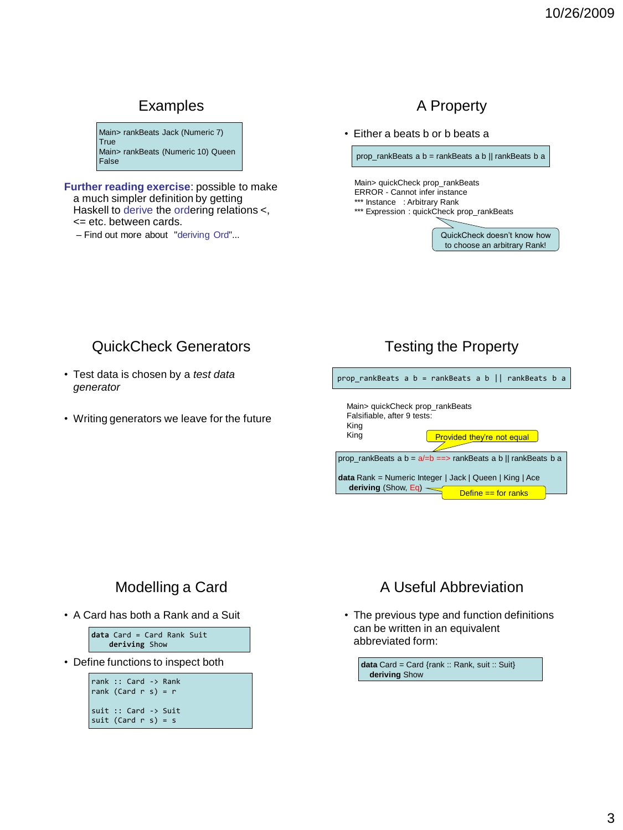### Examples

Main> rankBeats Jack (Numeric 7) True Main> rankBeats (Numeric 10) Queen False

**Further reading exercise**: possible to make a much simpler definition by getting Haskell to derive the ordering relations <, <= etc. between cards.

– Find out more about "deriving Ord"...

#### A Property

• Either a beats b or b beats a

prop\_rankBeats a  $b =$  rankBeats a b  $||$  rankBeats  $b$  a

Main> quickCheck prop\_rankBeats ERROR - Cannot infer instance \*\*\* Instance : Arbitrary Rank \*\*\* Expression : quickCheck prop\_rankBeats

to choose an arbitrary Rank!

QuickCheck doesn't know how

#### QuickCheck Generators

- Test data is chosen by a *test data generator*
- Writing generators we leave for the future

#### Testing the Property



## Modelling a Card

• A Card has both a Rank and a Suit

**data** Card = Card Rank Suit **deriving** Show

• Define functions to inspect both

rank :: Card -> Rank rank (Card  $r s$ ) =  $r$ suit :: Card -> Suit suit (Card  $r s$ ) = s

## A Useful Abbreviation

• The previous type and function definitions can be written in an equivalent abbreviated form:

data Card = Card {rank :: Rank, suit :: Suit} **deriving** Show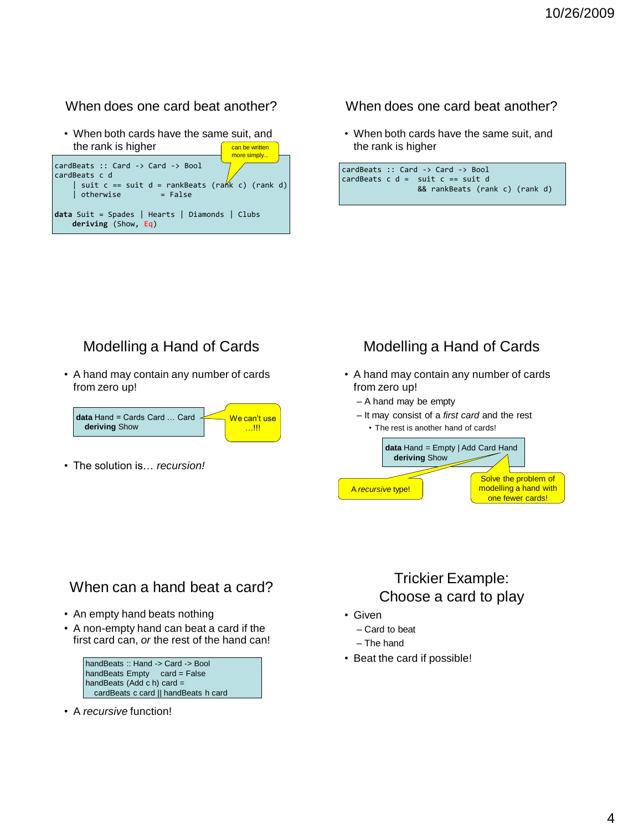#### When does one card beat another?

• When both cards have the same suit, and the rank is higher cardBeats :: Card -> Card -> Bool cardBeats c d | suit c == suit d = rankBeats (ra $\frac{K}{R}$  c) (rank d)<br>| otherwise = False can be written more simply...

#### $\overline{\phantom{a}}$  otherwise **data** Suit = Spades | Hearts | Diamonds | Clubs **deriving** (Show, Eq)

#### When does one card beat another?

• When both cards have the same suit, and the rank is higher



## Modelling a Hand of Cards

• A hand may contain any number of cards from zero up!



• The solution is… *recursion!*

### Modelling a Hand of Cards

- A hand may contain any number of cards from zero up!
	- A hand may be empty
	- It may consist of a *first card* and the rest • The rest is another hand of cards!



## When can a hand beat a card?

- An empty hand beats nothing
- A non-empty hand can beat a card if the first card can, *or* the rest of the hand can!



• A *recursive* function!

## Trickier Example: Choose a card to play

- Given
	- Card to beat
	- The hand
- Beat the card if possible!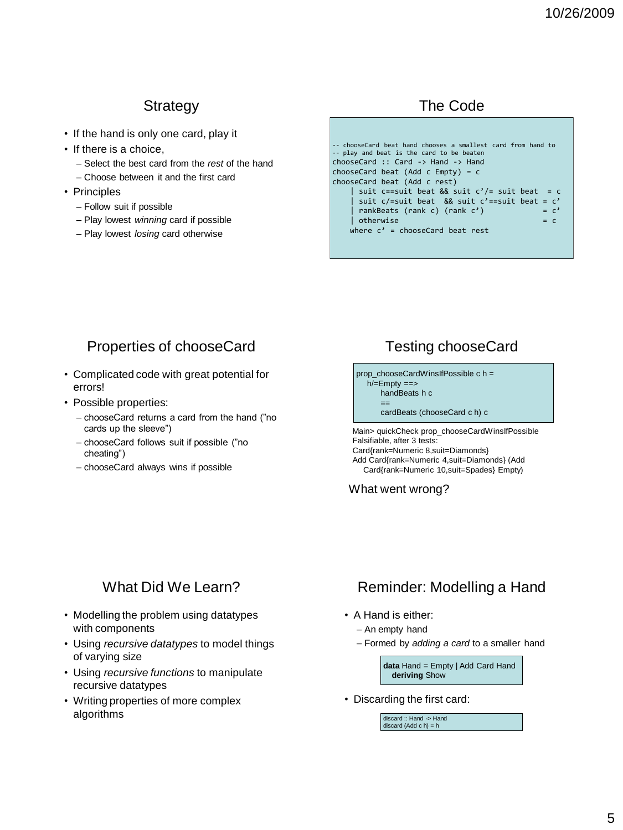### **Strategy**

- If the hand is only one card, play it
- If there is a choice.
	- Select the best card from the *rest* of the hand
	- Choose between it and the first card
- Principles
	- Follow suit if possible
	- Play lowest *winning* card if possible
	- Play lowest *losing* card otherwise

#### The Code

-- chooseCard beat hand chooses a smallest card from hand to -- play and beat is the card to be beaten chooseCard :: Card -> Hand -> Hand chooseCard beat (Add c Empty) = c chooseCard beat (Add c rest) | suit c==suit beat && suit  $c'/=$  suit beat = c | suit c/=suit beat && suit c'==suit beat = c'<br>| rankBeats (rank c) (rank c') = = c' rankBeats (rank c) (rank c')  $\blacksquare$  otherwise  $= c$ where  $c'$  = chooseCard beat rest

#### Properties of chooseCard

- Complicated code with great potential for errors!
- Possible properties:
	- chooseCard returns a card from the hand ("no cards up the sleeve")
	- chooseCard follows suit if possible ("no cheating")
	- chooseCard always wins if possible

## Testing chooseCard

prop\_chooseCardWinsIfPossible c h = h/=Empty ==> handBeats h c  $=$ cardBeats (chooseCard c h) c

Main> quickCheck prop\_chooseCardWinsIfPossible Falsifiable, after 3 tests: Card{rank=Numeric 8,suit=Diamonds} Add Card{rank=Numeric 4,suit=Diamonds} (Add Card{rank=Numeric 10,suit=Spades} Empty)

What went wrong?

#### What Did We Learn?

- Modelling the problem using datatypes with components
- Using *recursive datatypes* to model things of varying size
- Using *recursive functions* to manipulate recursive datatypes
- Writing properties of more complex algorithms

### Reminder: Modelling a Hand

- A Hand is either:
	- An empty hand
	- Formed by *adding a card* to a smaller hand

**data** Hand = Empty | Add Card Hand **deriving** Show

• Discarding the first card:

discard :: Hand -> Hand discard  $(Add c h) = h$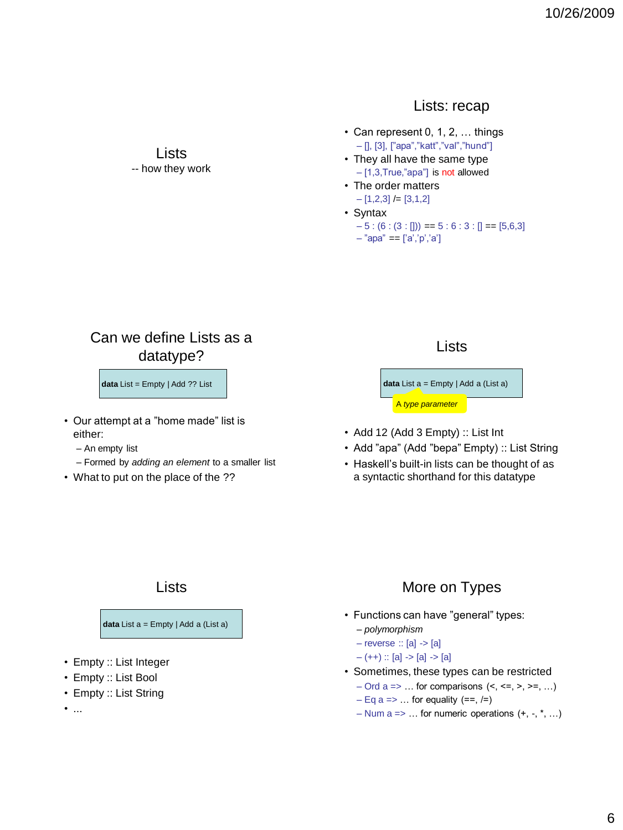#### Lists: recap

- Can represent 0, 1, 2, … things – [], [3], ["apa","katt","val","hund"]
- They all have the same type – [1,3,True,"apa"] is not allowed
- The order matters  $-[1,2,3]$  /= [3,1,2]
- Syntax  $-5$  : (6 : (3 : [])) = = 5 : 6 : 3 : [] = [5,6,3]  $-$ "apa" == ['a','p','a']

#### Can we define Lists as a datatype?

Lists -- how they work

**data** List = Empty | Add ?? List

- Our attempt at a "home made" list is either:
	- An empty list
	- Formed by *adding an element* to a smaller list
- What to put on the place of the ??

#### Lists

**data** List a = Empty | Add a (List a) A *type parameter*

- Add 12 (Add 3 Empty) :: List Int
- Add "apa" (Add "bepa" Empty) :: List String
- Haskell's built-in lists can be thought of as a syntactic shorthand for this datatype

#### Lists

**data** List a = Empty | Add a (List a)

- Empty :: List Integer
- Empty :: List Bool
- Empty :: List String
- ...

## More on Types

- Functions can have "general" types:
	- *polymorphism*
	- $-$  reverse  $:: [a] \rightarrow [a]$
	- (++) :: [a] -> [a] -> [a]
- Sometimes, these types can be restricted
	- $-$  Ord a => ... for comparisons  $\left\langle \langle 1, 1 \rangle 2, \langle 2, 2 \rangle 3, \ldots \right\rangle$  $-Eq a \Rightarrow$  ... for equality (==, /=)
	- $-$  Num a => ... for numeric operations  $(+, \cdot, *, ...)$